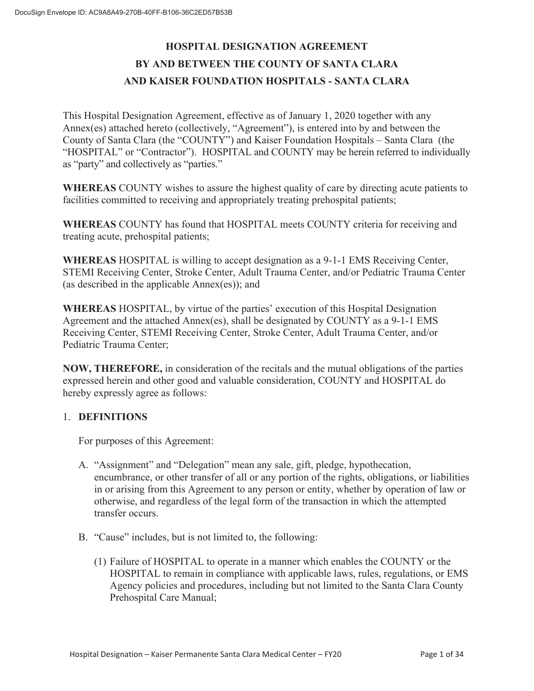# **HOSPITAL DESIGNATION AGREEMENT BY AND BETWEEN THE COUNTY OF SANTA CLARA AND KAISER FOUNDATION HOSPITALS - SANTA CLARA**

This Hospital Designation Agreement, effective as of January 1, 2020 together with any Annex(es) attached hereto (collectively, "Agreement"), is entered into by and between the County of Santa Clara (the "COUNTY") and Kaiser Foundation Hospitals – Santa Clara (the "HOSPITAL" or "Contractor"). HOSPITAL and COUNTY may be herein referred to individually as "party" and collectively as "parties."

**WHEREAS** COUNTY wishes to assure the highest quality of care by directing acute patients to facilities committed to receiving and appropriately treating prehospital patients;

**WHEREAS** COUNTY has found that HOSPITAL meets COUNTY criteria for receiving and treating acute, prehospital patients;

**WHEREAS** HOSPITAL is willing to accept designation as a 9-1-1 EMS Receiving Center, STEMI Receiving Center, Stroke Center, Adult Trauma Center, and/or Pediatric Trauma Center (as described in the applicable Annex(es)); and

**WHEREAS** HOSPITAL, by virtue of the parties' execution of this Hospital Designation Agreement and the attached Annex(es), shall be designated by COUNTY as a 9-1-1 EMS Receiving Center, STEMI Receiving Center, Stroke Center, Adult Trauma Center, and/or Pediatric Trauma Center;

**NOW, THEREFORE,** in consideration of the recitals and the mutual obligations of the parties expressed herein and other good and valuable consideration, COUNTY and HOSPITAL do hereby expressly agree as follows:

#### 1. **DEFINITIONS**

For purposes of this Agreement:

- A. "Assignment" and "Delegation" mean any sale, gift, pledge, hypothecation, encumbrance, or other transfer of all or any portion of the rights, obligations, or liabilities in or arising from this Agreement to any person or entity, whether by operation of law or otherwise, and regardless of the legal form of the transaction in which the attempted transfer occurs.
- B. "Cause" includes, but is not limited to, the following:
	- (1) Failure of HOSPITAL to operate in a manner which enables the COUNTY or the HOSPITAL to remain in compliance with applicable laws, rules, regulations, or EMS Agency policies and procedures, including but not limited to the Santa Clara County Prehospital Care Manual;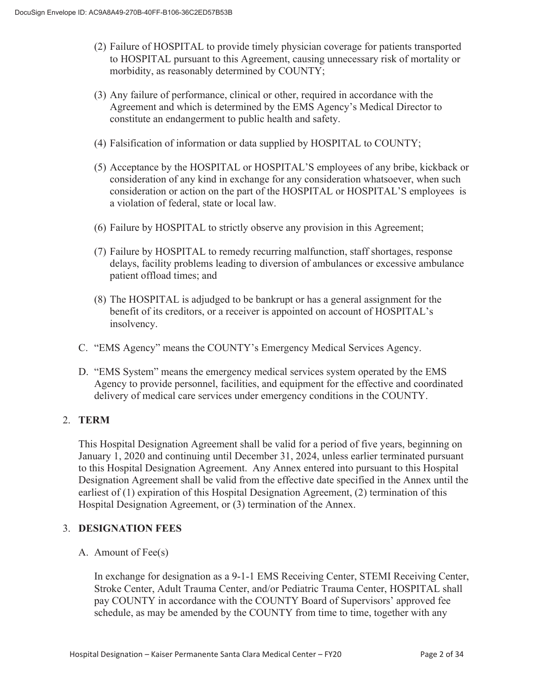- (2) Failure of HOSPITAL to provide timely physician coverage for patients transported to HOSPITAL pursuant to this Agreement, causing unnecessary risk of mortality or morbidity, as reasonably determined by COUNTY;
- (3) Any failure of performance, clinical or other, required in accordance with the Agreement and which is determined by the EMS Agency's Medical Director to constitute an endangerment to public health and safety.
- (4) Falsification of information or data supplied by HOSPITAL to COUNTY;
- (5) Acceptance by the HOSPITAL or HOSPITAL'S employees of any bribe, kickback or consideration of any kind in exchange for any consideration whatsoever, when such consideration or action on the part of the HOSPITAL or HOSPITAL'S employees is a violation of federal, state or local law.
- (6) Failure by HOSPITAL to strictly observe any provision in this Agreement;
- (7) Failure by HOSPITAL to remedy recurring malfunction, staff shortages, response delays, facility problems leading to diversion of ambulances or excessive ambulance patient offload times; and
- (8) The HOSPITAL is adjudged to be bankrupt or has a general assignment for the benefit of its creditors, or a receiver is appointed on account of HOSPITAL's insolvency.
- C. "EMS Agency" means the COUNTY's Emergency Medical Services Agency.
- D. "EMS System" means the emergency medical services system operated by the EMS Agency to provide personnel, facilities, and equipment for the effective and coordinated delivery of medical care services under emergency conditions in the COUNTY.

#### 2. **TERM**

This Hospital Designation Agreement shall be valid for a period of five years, beginning on January 1, 2020 and continuing until December 31, 2024, unless earlier terminated pursuant to this Hospital Designation Agreement. Any Annex entered into pursuant to this Hospital Designation Agreement shall be valid from the effective date specified in the Annex until the earliest of (1) expiration of this Hospital Designation Agreement, (2) termination of this Hospital Designation Agreement, or (3) termination of the Annex.

#### 3. **DESIGNATION FEES**

A. Amount of Fee(s)

In exchange for designation as a 9-1-1 EMS Receiving Center, STEMI Receiving Center, Stroke Center, Adult Trauma Center, and/or Pediatric Trauma Center, HOSPITAL shall pay COUNTY in accordance with the COUNTY Board of Supervisors' approved fee schedule, as may be amended by the COUNTY from time to time, together with any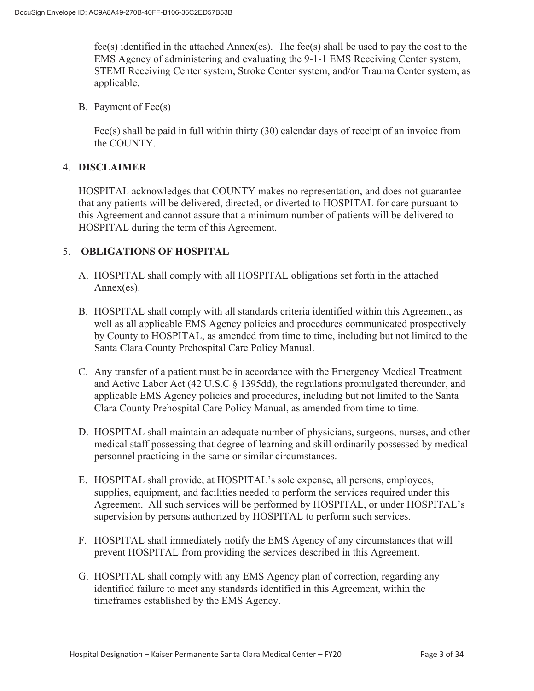fee(s) identified in the attached Annex(es). The fee(s) shall be used to pay the cost to the EMS Agency of administering and evaluating the 9-1-1 EMS Receiving Center system, STEMI Receiving Center system, Stroke Center system, and/or Trauma Center system, as applicable.

B. Payment of Fee(s)

Fee(s) shall be paid in full within thirty (30) calendar days of receipt of an invoice from the COUNTY.

#### 4. **DISCLAIMER**

HOSPITAL acknowledges that COUNTY makes no representation, and does not guarantee that any patients will be delivered, directed, or diverted to HOSPITAL for care pursuant to this Agreement and cannot assure that a minimum number of patients will be delivered to HOSPITAL during the term of this Agreement.

#### 5. **OBLIGATIONS OF HOSPITAL**

- A. HOSPITAL shall comply with all HOSPITAL obligations set forth in the attached Annex(es).
- B. HOSPITAL shall comply with all standards criteria identified within this Agreement, as well as all applicable EMS Agency policies and procedures communicated prospectively by County to HOSPITAL, as amended from time to time, including but not limited to the Santa Clara County Prehospital Care Policy Manual.
- C. Any transfer of a patient must be in accordance with the Emergency Medical Treatment and Active Labor Act (42 U.S.C § 1395dd), the regulations promulgated thereunder, and applicable EMS Agency policies and procedures, including but not limited to the Santa Clara County Prehospital Care Policy Manual, as amended from time to time.
- D. HOSPITAL shall maintain an adequate number of physicians, surgeons, nurses, and other medical staff possessing that degree of learning and skill ordinarily possessed by medical personnel practicing in the same or similar circumstances.
- E. HOSPITAL shall provide, at HOSPITAL's sole expense, all persons, employees, supplies, equipment, and facilities needed to perform the services required under this Agreement. All such services will be performed by HOSPITAL, or under HOSPITAL's supervision by persons authorized by HOSPITAL to perform such services.
- F. HOSPITAL shall immediately notify the EMS Agency of any circumstances that will prevent HOSPITAL from providing the services described in this Agreement.
- G. HOSPITAL shall comply with any EMS Agency plan of correction, regarding any identified failure to meet any standards identified in this Agreement, within the timeframes established by the EMS Agency.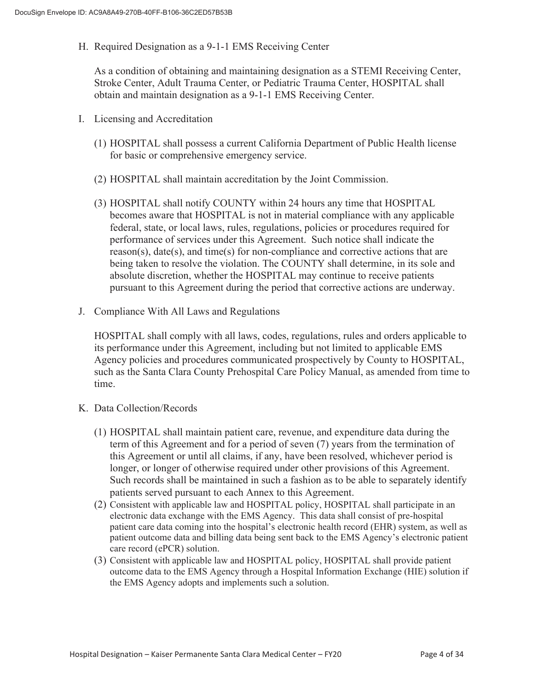H. Required Designation as a 9-1-1 EMS Receiving Center

As a condition of obtaining and maintaining designation as a STEMI Receiving Center, Stroke Center, Adult Trauma Center, or Pediatric Trauma Center, HOSPITAL shall obtain and maintain designation as a 9-1-1 EMS Receiving Center.

- I. Licensing and Accreditation
	- (1) HOSPITAL shall possess a current California Department of Public Health license for basic or comprehensive emergency service.
	- (2) HOSPITAL shall maintain accreditation by the Joint Commission.
	- (3) HOSPITAL shall notify COUNTY within 24 hours any time that HOSPITAL becomes aware that HOSPITAL is not in material compliance with any applicable federal, state, or local laws, rules, regulations, policies or procedures required for performance of services under this Agreement. Such notice shall indicate the  $r$ eason(s), date(s), and time(s) for non-compliance and corrective actions that are being taken to resolve the violation. The COUNTY shall determine, in its sole and absolute discretion, whether the HOSPITAL may continue to receive patients pursuant to this Agreement during the period that corrective actions are underway.
- J. Compliance With All Laws and Regulations

HOSPITAL shall comply with all laws, codes, regulations, rules and orders applicable to its performance under this Agreement, including but not limited to applicable EMS Agency policies and procedures communicated prospectively by County to HOSPITAL, such as the Santa Clara County Prehospital Care Policy Manual, as amended from time to time.

- K. Data Collection/Records
	- (1) HOSPITAL shall maintain patient care, revenue, and expenditure data during the term of this Agreement and for a period of seven (7) years from the termination of this Agreement or until all claims, if any, have been resolved, whichever period is longer, or longer of otherwise required under other provisions of this Agreement. Such records shall be maintained in such a fashion as to be able to separately identify patients served pursuant to each Annex to this Agreement.
	- (2) Consistent with applicable law and HOSPITAL policy, HOSPITAL shall participate in an electronic data exchange with the EMS Agency. This data shall consist of pre-hospital patient care data coming into the hospital's electronic health record (EHR) system, as well as patient outcome data and billing data being sent back to the EMS Agency's electronic patient care record (ePCR) solution.
	- (3) Consistent with applicable law and HOSPITAL policy, HOSPITAL shall provide patient outcome data to the EMS Agency through a Hospital Information Exchange (HIE) solution if the EMS Agency adopts and implements such a solution.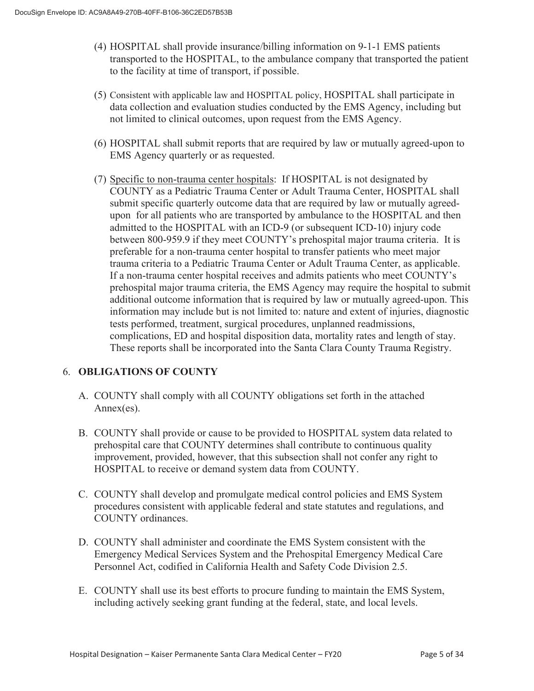- (4) HOSPITAL shall provide insurance/billing information on 9-1-1 EMS patients transported to the HOSPITAL, to the ambulance company that transported the patient to the facility at time of transport, if possible.
- (5) Consistent with applicable law and HOSPITAL policy, HOSPITAL shall participate in data collection and evaluation studies conducted by the EMS Agency, including but not limited to clinical outcomes, upon request from the EMS Agency.
- (6) HOSPITAL shall submit reports that are required by law or mutually agreed-upon to EMS Agency quarterly or as requested.
- (7) Specific to non-trauma center hospitals: If HOSPITAL is not designated by COUNTY as a Pediatric Trauma Center or Adult Trauma Center, HOSPITAL shall submit specific quarterly outcome data that are required by law or mutually agreedupon for all patients who are transported by ambulance to the HOSPITAL and then admitted to the HOSPITAL with an ICD-9 (or subsequent ICD-10) injury code between 800-959.9 if they meet COUNTY's prehospital major trauma criteria. It is preferable for a non-trauma center hospital to transfer patients who meet major trauma criteria to a Pediatric Trauma Center or Adult Trauma Center, as applicable. If a non-trauma center hospital receives and admits patients who meet COUNTY's prehospital major trauma criteria, the EMS Agency may require the hospital to submit additional outcome information that is required by law or mutually agreed-upon. This information may include but is not limited to: nature and extent of injuries, diagnostic tests performed, treatment, surgical procedures, unplanned readmissions, complications, ED and hospital disposition data, mortality rates and length of stay. These reports shall be incorporated into the Santa Clara County Trauma Registry.

## 6. **OBLIGATIONS OF COUNTY**

- A. COUNTY shall comply with all COUNTY obligations set forth in the attached Annex(es).
- B. COUNTY shall provide or cause to be provided to HOSPITAL system data related to prehospital care that COUNTY determines shall contribute to continuous quality improvement, provided, however, that this subsection shall not confer any right to HOSPITAL to receive or demand system data from COUNTY.
- C. COUNTY shall develop and promulgate medical control policies and EMS System procedures consistent with applicable federal and state statutes and regulations, and COUNTY ordinances.
- D. COUNTY shall administer and coordinate the EMS System consistent with the Emergency Medical Services System and the Prehospital Emergency Medical Care Personnel Act, codified in California Health and Safety Code Division 2.5.
- E. COUNTY shall use its best efforts to procure funding to maintain the EMS System, including actively seeking grant funding at the federal, state, and local levels.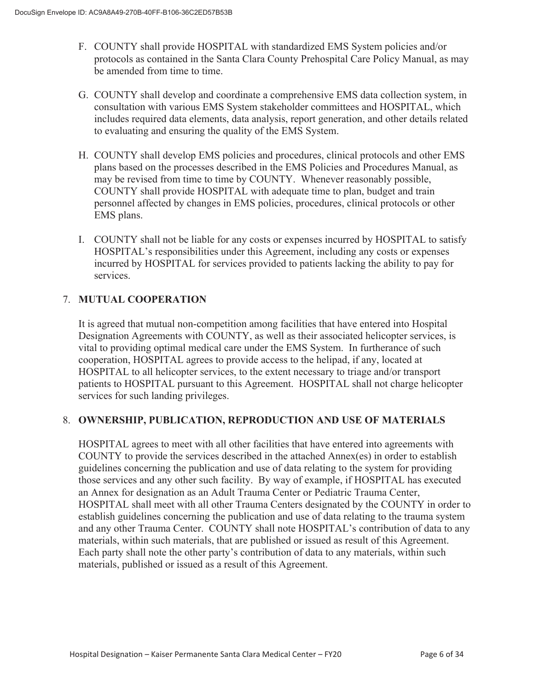- F. COUNTY shall provide HOSPITAL with standardized EMS System policies and/or protocols as contained in the Santa Clara County Prehospital Care Policy Manual, as may be amended from time to time.
- G. COUNTY shall develop and coordinate a comprehensive EMS data collection system, in consultation with various EMS System stakeholder committees and HOSPITAL, which includes required data elements, data analysis, report generation, and other details related to evaluating and ensuring the quality of the EMS System.
- H. COUNTY shall develop EMS policies and procedures, clinical protocols and other EMS plans based on the processes described in the EMS Policies and Procedures Manual, as may be revised from time to time by COUNTY. Whenever reasonably possible, COUNTY shall provide HOSPITAL with adequate time to plan, budget and train personnel affected by changes in EMS policies, procedures, clinical protocols or other EMS plans.
- I. COUNTY shall not be liable for any costs or expenses incurred by HOSPITAL to satisfy HOSPITAL's responsibilities under this Agreement, including any costs or expenses incurred by HOSPITAL for services provided to patients lacking the ability to pay for services.

## 7. **MUTUAL COOPERATION**

It is agreed that mutual non-competition among facilities that have entered into Hospital Designation Agreements with COUNTY, as well as their associated helicopter services, is vital to providing optimal medical care under the EMS System. In furtherance of such cooperation, HOSPITAL agrees to provide access to the helipad, if any, located at HOSPITAL to all helicopter services, to the extent necessary to triage and/or transport patients to HOSPITAL pursuant to this Agreement. HOSPITAL shall not charge helicopter services for such landing privileges.

#### 8. **OWNERSHIP, PUBLICATION, REPRODUCTION AND USE OF MATERIALS**

HOSPITAL agrees to meet with all other facilities that have entered into agreements with COUNTY to provide the services described in the attached Annex(es) in order to establish guidelines concerning the publication and use of data relating to the system for providing those services and any other such facility. By way of example, if HOSPITAL has executed an Annex for designation as an Adult Trauma Center or Pediatric Trauma Center, HOSPITAL shall meet with all other Trauma Centers designated by the COUNTY in order to establish guidelines concerning the publication and use of data relating to the trauma system and any other Trauma Center. COUNTY shall note HOSPITAL's contribution of data to any materials, within such materials, that are published or issued as result of this Agreement. Each party shall note the other party's contribution of data to any materials, within such materials, published or issued as a result of this Agreement.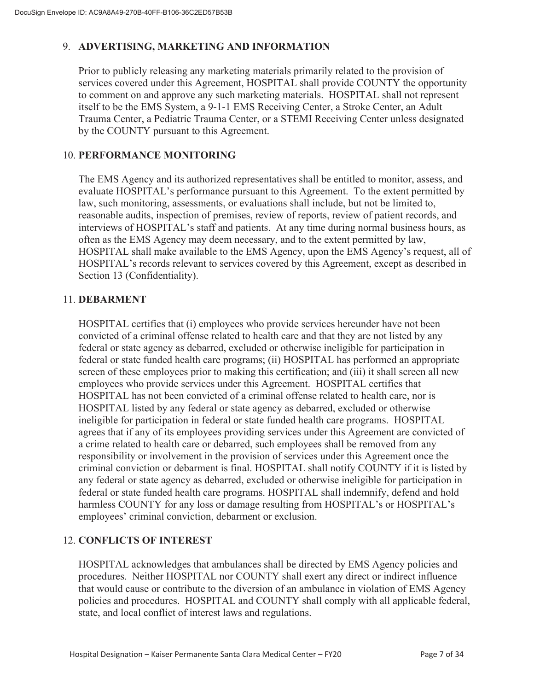## 9. **ADVERTISING, MARKETING AND INFORMATION**

Prior to publicly releasing any marketing materials primarily related to the provision of services covered under this Agreement, HOSPITAL shall provide COUNTY the opportunity to comment on and approve any such marketing materials. HOSPITAL shall not represent itself to be the EMS System, a 9-1-1 EMS Receiving Center, a Stroke Center, an Adult Trauma Center, a Pediatric Trauma Center, or a STEMI Receiving Center unless designated by the COUNTY pursuant to this Agreement.

## 10. **PERFORMANCE MONITORING**

The EMS Agency and its authorized representatives shall be entitled to monitor, assess, and evaluate HOSPITAL's performance pursuant to this Agreement. To the extent permitted by law, such monitoring, assessments, or evaluations shall include, but not be limited to, reasonable audits, inspection of premises, review of reports, review of patient records, and interviews of HOSPITAL's staff and patients. At any time during normal business hours, as often as the EMS Agency may deem necessary, and to the extent permitted by law, HOSPITAL shall make available to the EMS Agency, upon the EMS Agency's request, all of HOSPITAL's records relevant to services covered by this Agreement, except as described in Section 13 (Confidentiality).

#### 11. **DEBARMENT**

HOSPITAL certifies that (i) employees who provide services hereunder have not been convicted of a criminal offense related to health care and that they are not listed by any federal or state agency as debarred, excluded or otherwise ineligible for participation in federal or state funded health care programs; (ii) HOSPITAL has performed an appropriate screen of these employees prior to making this certification; and (iii) it shall screen all new employees who provide services under this Agreement. HOSPITAL certifies that HOSPITAL has not been convicted of a criminal offense related to health care, nor is HOSPITAL listed by any federal or state agency as debarred, excluded or otherwise ineligible for participation in federal or state funded health care programs. HOSPITAL agrees that if any of its employees providing services under this Agreement are convicted of a crime related to health care or debarred, such employees shall be removed from any responsibility or involvement in the provision of services under this Agreement once the criminal conviction or debarment is final. HOSPITAL shall notify COUNTY if it is listed by any federal or state agency as debarred, excluded or otherwise ineligible for participation in federal or state funded health care programs. HOSPITAL shall indemnify, defend and hold harmless COUNTY for any loss or damage resulting from HOSPITAL's or HOSPITAL's employees' criminal conviction, debarment or exclusion.

## 12. **CONFLICTS OF INTEREST**

HOSPITAL acknowledges that ambulances shall be directed by EMS Agency policies and procedures. Neither HOSPITAL nor COUNTY shall exert any direct or indirect influence that would cause or contribute to the diversion of an ambulance in violation of EMS Agency policies and procedures. HOSPITAL and COUNTY shall comply with all applicable federal, state, and local conflict of interest laws and regulations.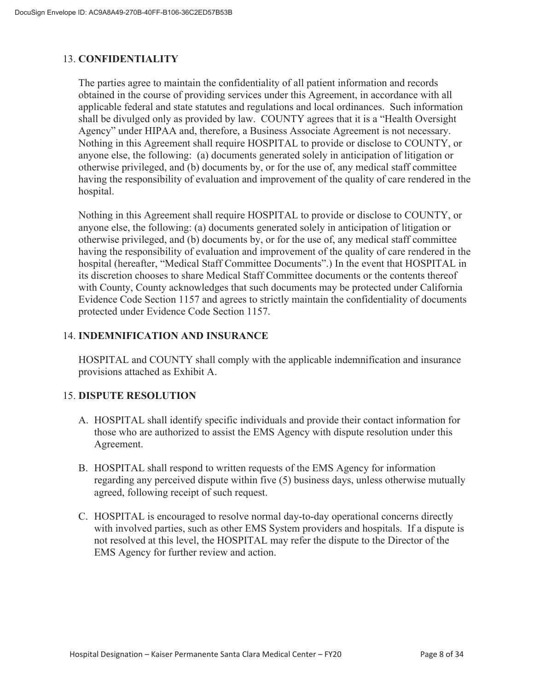## 13. **CONFIDENTIALITY**

The parties agree to maintain the confidentiality of all patient information and records obtained in the course of providing services under this Agreement, in accordance with all applicable federal and state statutes and regulations and local ordinances. Such information shall be divulged only as provided by law. COUNTY agrees that it is a "Health Oversight Agency" under HIPAA and, therefore, a Business Associate Agreement is not necessary. Nothing in this Agreement shall require HOSPITAL to provide or disclose to COUNTY, or anyone else, the following: (a) documents generated solely in anticipation of litigation or otherwise privileged, and (b) documents by, or for the use of, any medical staff committee having the responsibility of evaluation and improvement of the quality of care rendered in the hospital.

Nothing in this Agreement shall require HOSPITAL to provide or disclose to COUNTY, or anyone else, the following: (a) documents generated solely in anticipation of litigation or otherwise privileged, and (b) documents by, or for the use of, any medical staff committee having the responsibility of evaluation and improvement of the quality of care rendered in the hospital (hereafter, "Medical Staff Committee Documents".) In the event that HOSPITAL in its discretion chooses to share Medical Staff Committee documents or the contents thereof with County, County acknowledges that such documents may be protected under California Evidence Code Section 1157 and agrees to strictly maintain the confidentiality of documents protected under Evidence Code Section 1157.

## 14. **INDEMNIFICATION AND INSURANCE**

HOSPITAL and COUNTY shall comply with the applicable indemnification and insurance provisions attached as Exhibit A.

## 15. **DISPUTE RESOLUTION**

- A. HOSPITAL shall identify specific individuals and provide their contact information for those who are authorized to assist the EMS Agency with dispute resolution under this Agreement.
- B. HOSPITAL shall respond to written requests of the EMS Agency for information regarding any perceived dispute within five (5) business days, unless otherwise mutually agreed, following receipt of such request.
- C. HOSPITAL is encouraged to resolve normal day-to-day operational concerns directly with involved parties, such as other EMS System providers and hospitals. If a dispute is not resolved at this level, the HOSPITAL may refer the dispute to the Director of the EMS Agency for further review and action.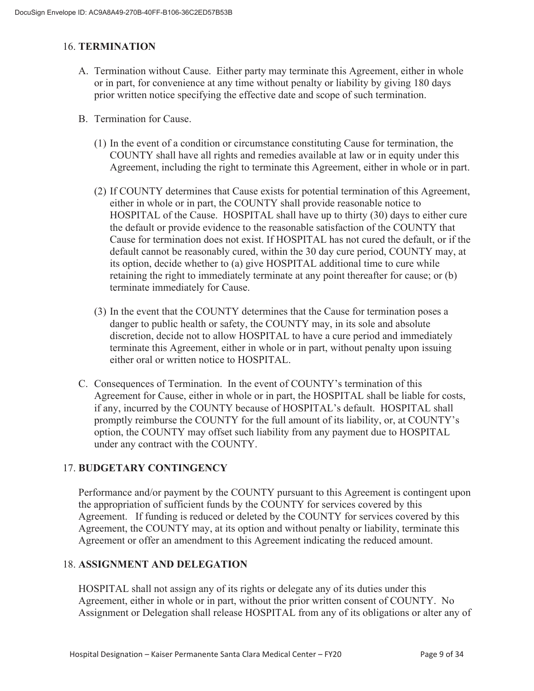## 16. **TERMINATION**

- A. Termination without Cause. Either party may terminate this Agreement, either in whole or in part, for convenience at any time without penalty or liability by giving 180 days prior written notice specifying the effective date and scope of such termination.
- B. Termination for Cause.
	- (1) In the event of a condition or circumstance constituting Cause for termination, the COUNTY shall have all rights and remedies available at law or in equity under this Agreement, including the right to terminate this Agreement, either in whole or in part.
	- (2) If COUNTY determines that Cause exists for potential termination of this Agreement, either in whole or in part, the COUNTY shall provide reasonable notice to HOSPITAL of the Cause. HOSPITAL shall have up to thirty (30) days to either cure the default or provide evidence to the reasonable satisfaction of the COUNTY that Cause for termination does not exist. If HOSPITAL has not cured the default, or if the default cannot be reasonably cured, within the 30 day cure period, COUNTY may, at its option, decide whether to (a) give HOSPITAL additional time to cure while retaining the right to immediately terminate at any point thereafter for cause; or (b) terminate immediately for Cause.
	- (3) In the event that the COUNTY determines that the Cause for termination poses a danger to public health or safety, the COUNTY may, in its sole and absolute discretion, decide not to allow HOSPITAL to have a cure period and immediately terminate this Agreement, either in whole or in part, without penalty upon issuing either oral or written notice to HOSPITAL.
- C. Consequences of Termination. In the event of COUNTY's termination of this Agreement for Cause, either in whole or in part, the HOSPITAL shall be liable for costs, if any, incurred by the COUNTY because of HOSPITAL's default. HOSPITAL shall promptly reimburse the COUNTY for the full amount of its liability, or, at COUNTY's option, the COUNTY may offset such liability from any payment due to HOSPITAL under any contract with the COUNTY.

## 17. **BUDGETARY CONTINGENCY**

Performance and/or payment by the COUNTY pursuant to this Agreement is contingent upon the appropriation of sufficient funds by the COUNTY for services covered by this Agreement. If funding is reduced or deleted by the COUNTY for services covered by this Agreement, the COUNTY may, at its option and without penalty or liability, terminate this Agreement or offer an amendment to this Agreement indicating the reduced amount.

#### 18. **ASSIGNMENT AND DELEGATION**

HOSPITAL shall not assign any of its rights or delegate any of its duties under this Agreement, either in whole or in part, without the prior written consent of COUNTY. No Assignment or Delegation shall release HOSPITAL from any of its obligations or alter any of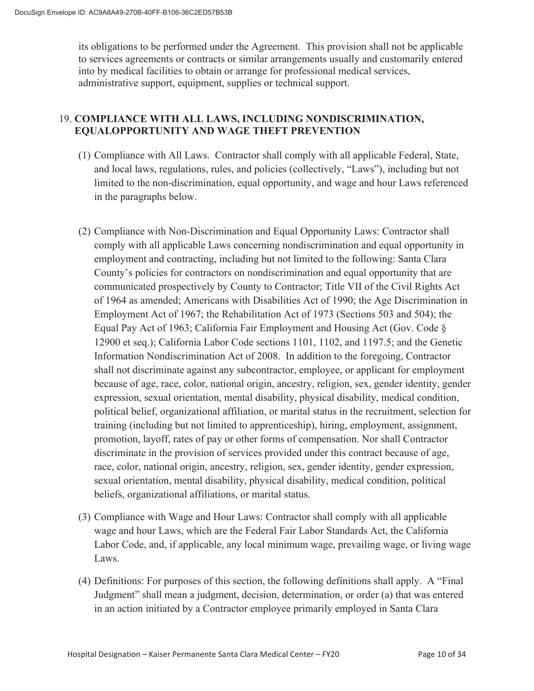its obligations to be performed under the Agreement. This provision shall not be applicable to services agreements or contracts or similar arrangements usually and customarily entered into by medical facilities to obtain or arrange for professional medical services, administrative support, equipment, supplies or technical support.

## 19. **COMPLIANCE WITH ALL LAWS, INCLUDING NONDISCRIMINATION, EQUALOPPORTUNITY AND WAGE THEFT PREVENTION**

- (1) Compliance with All Laws. Contractor shall comply with all applicable Federal, State, and local laws, regulations, rules, and policies (collectively, "Laws"), including but not limited to the non-discrimination, equal opportunity, and wage and hour Laws referenced in the paragraphs below.
- (2) Compliance with Non-Discrimination and Equal Opportunity Laws: Contractor shall comply with all applicable Laws concerning nondiscrimination and equal opportunity in employment and contracting, including but not limited to the following: Santa Clara County's policies for contractors on nondiscrimination and equal opportunity that are communicated prospectively by County to Contractor; Title VII of the Civil Rights Act of 1964 as amended; Americans with Disabilities Act of 1990; the Age Discrimination in Employment Act of 1967; the Rehabilitation Act of 1973 (Sections 503 and 504); the Equal Pay Act of 1963; California Fair Employment and Housing Act (Gov. Code § 12900 et seq.); California Labor Code sections 1101, 1102, and 1197.5; and the Genetic Information Nondiscrimination Act of 2008. In addition to the foregoing, Contractor shall not discriminate against any subcontractor, employee, or applicant for employment because of age, race, color, national origin, ancestry, religion, sex, gender identity, gender expression, sexual orientation, mental disability, physical disability, medical condition, political belief, organizational affiliation, or marital status in the recruitment, selection for training (including but not limited to apprenticeship), hiring, employment, assignment, promotion, layoff, rates of pay or other forms of compensation. Nor shall Contractor discriminate in the provision of services provided under this contract because of age, race, color, national origin, ancestry, religion, sex, gender identity, gender expression, sexual orientation, mental disability, physical disability, medical condition, political beliefs, organizational affiliations, or marital status.
- (3) Compliance with Wage and Hour Laws: Contractor shall comply with all applicable wage and hour Laws, which are the Federal Fair Labor Standards Act, the California Labor Code, and, if applicable, any local minimum wage, prevailing wage, or living wage Laws.
- (4) Definitions: For purposes of this section, the following definitions shall apply. A "Final Judgment" shall mean a judgment, decision, determination, or order (a) that was entered in an action initiated by a Contractor employee primarily employed in Santa Clara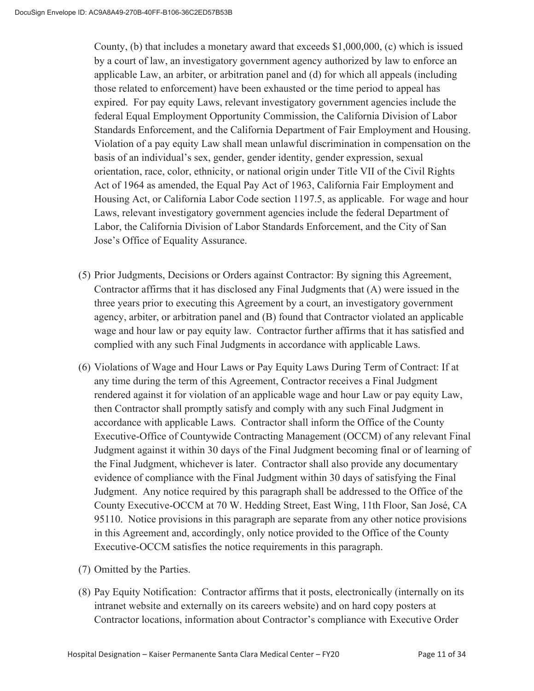County, (b) that includes a monetary award that exceeds \$1,000,000, (c) which is issued by a court of law, an investigatory government agency authorized by law to enforce an applicable Law, an arbiter, or arbitration panel and (d) for which all appeals (including those related to enforcement) have been exhausted or the time period to appeal has expired. For pay equity Laws, relevant investigatory government agencies include the federal Equal Employment Opportunity Commission, the California Division of Labor Standards Enforcement, and the California Department of Fair Employment and Housing. Violation of a pay equity Law shall mean unlawful discrimination in compensation on the basis of an individual's sex, gender, gender identity, gender expression, sexual orientation, race, color, ethnicity, or national origin under Title VII of the Civil Rights Act of 1964 as amended, the Equal Pay Act of 1963, California Fair Employment and Housing Act, or California Labor Code section 1197.5, as applicable. For wage and hour Laws, relevant investigatory government agencies include the federal Department of Labor, the California Division of Labor Standards Enforcement, and the City of San Jose's Office of Equality Assurance.

- (5) Prior Judgments, Decisions or Orders against Contractor: By signing this Agreement, Contractor affirms that it has disclosed any Final Judgments that (A) were issued in the three years prior to executing this Agreement by a court, an investigatory government agency, arbiter, or arbitration panel and (B) found that Contractor violated an applicable wage and hour law or pay equity law. Contractor further affirms that it has satisfied and complied with any such Final Judgments in accordance with applicable Laws.
- (6) Violations of Wage and Hour Laws or Pay Equity Laws During Term of Contract: If at any time during the term of this Agreement, Contractor receives a Final Judgment rendered against it for violation of an applicable wage and hour Law or pay equity Law, then Contractor shall promptly satisfy and comply with any such Final Judgment in accordance with applicable Laws. Contractor shall inform the Office of the County Executive-Office of Countywide Contracting Management (OCCM) of any relevant Final Judgment against it within 30 days of the Final Judgment becoming final or of learning of the Final Judgment, whichever is later. Contractor shall also provide any documentary evidence of compliance with the Final Judgment within 30 days of satisfying the Final Judgment. Any notice required by this paragraph shall be addressed to the Office of the County Executive-OCCM at 70 W. Hedding Street, East Wing, 11th Floor, San José, CA 95110. Notice provisions in this paragraph are separate from any other notice provisions in this Agreement and, accordingly, only notice provided to the Office of the County Executive-OCCM satisfies the notice requirements in this paragraph.
- (7) Omitted by the Parties.
- (8) Pay Equity Notification: Contractor affirms that it posts, electronically (internally on its intranet website and externally on its careers website) and on hard copy posters at Contractor locations, information about Contractor's compliance with Executive Order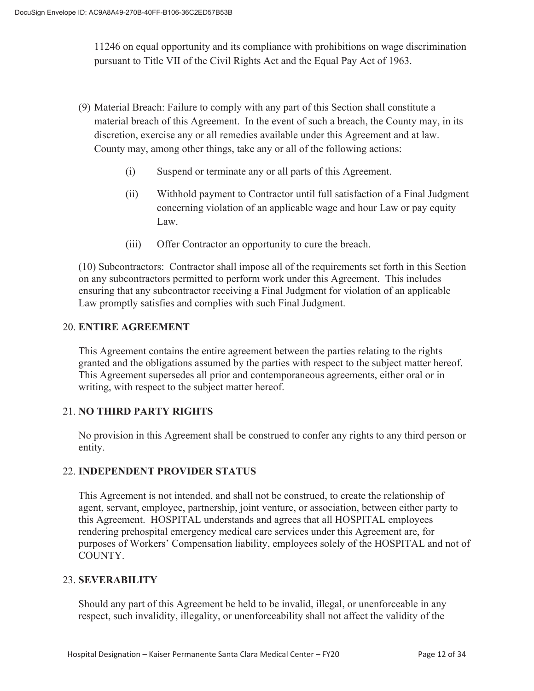11246 on equal opportunity and its compliance with prohibitions on wage discrimination pursuant to Title VII of the Civil Rights Act and the Equal Pay Act of 1963.

- (9) Material Breach: Failure to comply with any part of this Section shall constitute a material breach of this Agreement. In the event of such a breach, the County may, in its discretion, exercise any or all remedies available under this Agreement and at law. County may, among other things, take any or all of the following actions:
	- (i) Suspend or terminate any or all parts of this Agreement.
	- (ii) Withhold payment to Contractor until full satisfaction of a Final Judgment concerning violation of an applicable wage and hour Law or pay equity Law.
	- (iii) Offer Contractor an opportunity to cure the breach.

(10) Subcontractors: Contractor shall impose all of the requirements set forth in this Section on any subcontractors permitted to perform work under this Agreement. This includes ensuring that any subcontractor receiving a Final Judgment for violation of an applicable Law promptly satisfies and complies with such Final Judgment.

## 20. **ENTIRE AGREEMENT**

 This Agreement contains the entire agreement between the parties relating to the rights granted and the obligations assumed by the parties with respect to the subject matter hereof. This Agreement supersedes all prior and contemporaneous agreements, either oral or in writing, with respect to the subject matter hereof.

## 21. **NO THIRD PARTY RIGHTS**

No provision in this Agreement shall be construed to confer any rights to any third person or entity.

#### 22. **INDEPENDENT PROVIDER STATUS**

This Agreement is not intended, and shall not be construed, to create the relationship of agent, servant, employee, partnership, joint venture, or association, between either party to this Agreement. HOSPITAL understands and agrees that all HOSPITAL employees rendering prehospital emergency medical care services under this Agreement are, for purposes of Workers' Compensation liability, employees solely of the HOSPITAL and not of COUNTY.

#### 23. **SEVERABILITY**

Should any part of this Agreement be held to be invalid, illegal, or unenforceable in any respect, such invalidity, illegality, or unenforceability shall not affect the validity of the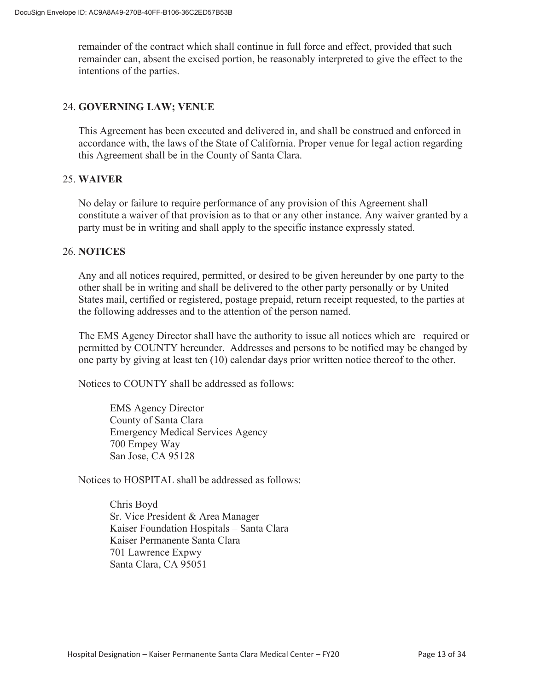remainder of the contract which shall continue in full force and effect, provided that such remainder can, absent the excised portion, be reasonably interpreted to give the effect to the intentions of the parties.

#### 24. **GOVERNING LAW; VENUE**

This Agreement has been executed and delivered in, and shall be construed and enforced in accordance with, the laws of the State of California. Proper venue for legal action regarding this Agreement shall be in the County of Santa Clara.

#### 25. **WAIVER**

No delay or failure to require performance of any provision of this Agreement shall constitute a waiver of that provision as to that or any other instance. Any waiver granted by a party must be in writing and shall apply to the specific instance expressly stated.

#### 26. **NOTICES**

Any and all notices required, permitted, or desired to be given hereunder by one party to the other shall be in writing and shall be delivered to the other party personally or by United States mail, certified or registered, postage prepaid, return receipt requested, to the parties at the following addresses and to the attention of the person named.

The EMS Agency Director shall have the authority to issue all notices which are required or permitted by COUNTY hereunder. Addresses and persons to be notified may be changed by one party by giving at least ten (10) calendar days prior written notice thereof to the other.

Notices to COUNTY shall be addressed as follows:

EMS Agency Director County of Santa Clara Emergency Medical Services Agency 700 Empey Way San Jose, CA 95128

Notices to HOSPITAL shall be addressed as follows:

Chris Boyd Sr. Vice President & Area Manager Kaiser Foundation Hospitals – Santa Clara Kaiser Permanente Santa Clara 701 Lawrence Expwy Santa Clara, CA 95051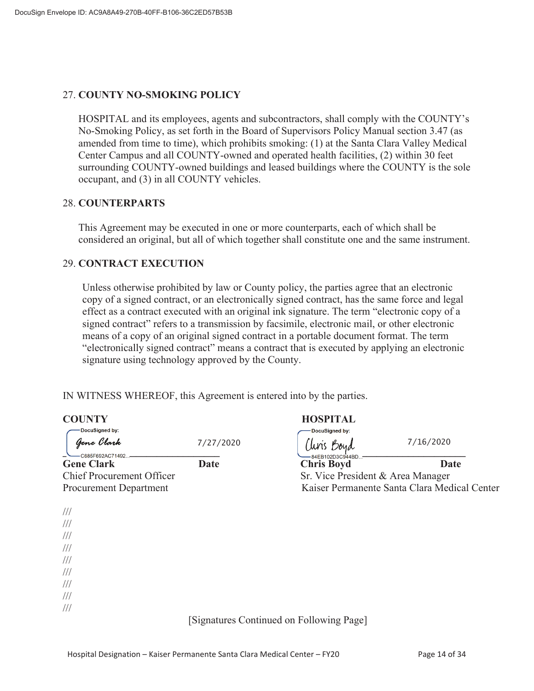#### 27. **COUNTY NO-SMOKING POLICY**

HOSPITAL and its employees, agents and subcontractors, shall comply with the COUNTY's No-Smoking Policy, as set forth in the Board of Supervisors Policy Manual section 3.47 (as amended from time to time), which prohibits smoking: (1) at the Santa Clara Valley Medical Center Campus and all COUNTY-owned and operated health facilities, (2) within 30 feet surrounding COUNTY-owned buildings and leased buildings where the COUNTY is the sole occupant, and (3) in all COUNTY vehicles.

#### 28. **COUNTERPARTS**

This Agreement may be executed in one or more counterparts, each of which shall be considered an original, but all of which together shall constitute one and the same instrument.

#### 29. **CONTRACT EXECUTION**

Unless otherwise prohibited by law or County policy, the parties agree that an electronic copy of a signed contract, or an electronically signed contract, has the same force and legal effect as a contract executed with an original ink signature. The term "electronic copy of a signed contract" refers to a transmission by facsimile, electronic mail, or other electronic means of a copy of an original signed contract in a portable document format. The term "electronically signed contract" means a contract that is executed by applying an electronic signature using technology approved by the County.

IN WITNESS WHEREOF, this Agreement is entered into by the parties.

| <b>COUNTY</b>                         |             | <b>HOSPITAL</b>                              |             |
|---------------------------------------|-------------|----------------------------------------------|-------------|
| DocuSigned by:<br>Gene Clark          | 7/27/2020   | DocuSigned by:<br>uns Boyd                   | 7/16/2020   |
| C685F692AC71492.<br><b>Gene Clark</b> | <b>Date</b> | 84EB102D3C944BD<br><b>Chris Boyd</b>         | <b>Date</b> |
| <b>Chief Procurement Officer</b>      |             | Sr. Vice President & Area Manager            |             |
| <b>Procurement Department</b>         |             | Kaiser Permanente Santa Clara Medical Center |             |
|                                       |             |                                              |             |
| $\frac{1}{1}$                         |             |                                              |             |
| $\frac{1}{1}$                         |             |                                              |             |
| $\frac{1}{1}$                         |             |                                              |             |
| $\frac{1}{1}$                         |             |                                              |             |
| $\frac{1}{1}$                         |             |                                              |             |
| $\frac{1}{1}$                         |             |                                              |             |
| $\frac{1}{1}$                         |             |                                              |             |
| $\frac{1}{1}$                         |             |                                              |             |
| $\frac{1}{2}$                         |             |                                              |             |
|                                       |             |                                              |             |

[Signatures Continued on Following Page]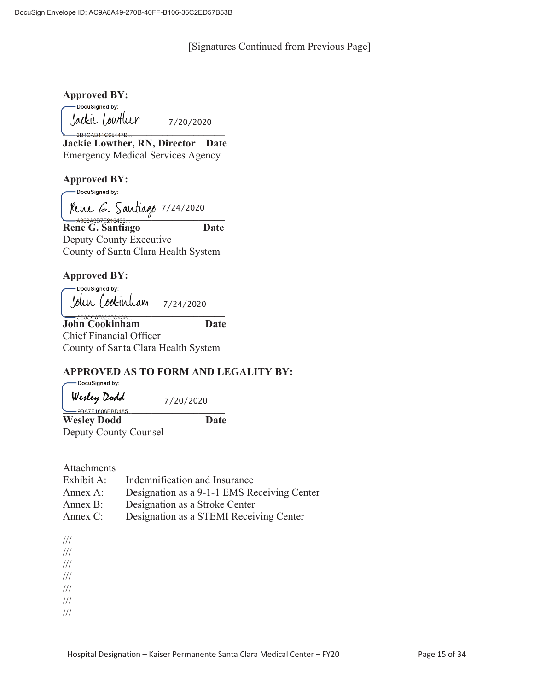[Signatures Continued from Previous Page]

**Approved BY:** 

-DocuSigned by: **\_\_\_\_\_\_\_\_\_\_\_\_\_\_\_\_\_\_\_\_\_\_\_\_\_\_\_\_\_\_\_** 7/20/2020

**Jackie Lowther, RN, Director Date** Emergency Medical Services Agency

#### **Approved BY:**

-DocuSigned by:

**Reine G. Santiago** 7/24/2020

**Rene G. Santiago Date**  Deputy County Executive County of Santa Clara Health System

**Approved BY:** 

 -DocuSigned by: 7/24/2020 **\_\_\_\_\_\_\_\_\_\_\_\_\_\_\_\_\_\_\_\_\_\_\_\_\_\_\_\_\_\_\_** 

**John Cookinham Date** Chief Financial Officer County of Santa Clara Health System

## **APPROVED AS TO FORM AND LEGALITY BY:**

-DocuSigned by: Werley Dodd

**\_\_\_\_\_\_\_\_\_\_\_\_\_\_\_\_\_\_\_\_\_\_\_\_\_\_\_\_\_\_\_** 

7/20/2020

**Wesley Dodd Date**  Deputy County Counsel

#### **Attachments**

| Exhibit A:  | Indemnification and Insurance               |
|-------------|---------------------------------------------|
| Annex A:    | Designation as a 9-1-1 EMS Receiving Center |
| Annex B:    | Designation as a Stroke Center              |
| Annex $C$ : | Designation as a STEMI Receiving Center     |

///

///

///

///

///

///

///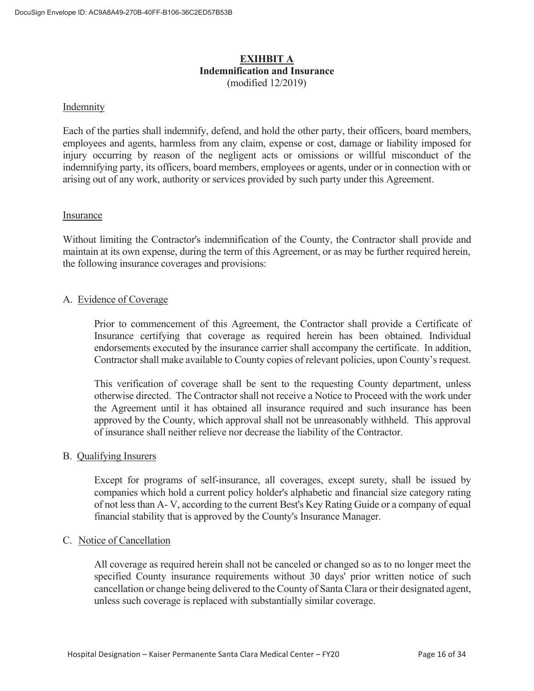## **EXIHBIT A Indemnification and Insurance**  (modified 12/2019)

#### **Indemnity**

Each of the parties shall indemnify, defend, and hold the other party, their officers, board members, employees and agents, harmless from any claim, expense or cost, damage or liability imposed for injury occurring by reason of the negligent acts or omissions or willful misconduct of the indemnifying party, its officers, board members, employees or agents, under or in connection with or arising out of any work, authority or services provided by such party under this Agreement.

#### Insurance

Without limiting the Contractor's indemnification of the County, the Contractor shall provide and maintain at its own expense, during the term of this Agreement, or as may be further required herein, the following insurance coverages and provisions:

#### A. Evidence of Coverage

 Prior to commencement of this Agreement, the Contractor shall provide a Certificate of Insurance certifying that coverage as required herein has been obtained. Individual endorsements executed by the insurance carrier shall accompany the certificate. In addition, Contractor shall make available to County copies of relevant policies, upon County's request.

 This verification of coverage shall be sent to the requesting County department, unless otherwise directed. The Contractor shall not receive a Notice to Proceed with the work under the Agreement until it has obtained all insurance required and such insurance has been approved by the County, which approval shall not be unreasonably withheld. This approval of insurance shall neither relieve nor decrease the liability of the Contractor.

#### B. Qualifying Insurers

 Except for programs of self-insurance, all coverages, except surety, shall be issued by companies which hold a current policy holder's alphabetic and financial size category rating of not less than A- V, according to the current Best's Key Rating Guide or a company of equal financial stability that is approved by the County's Insurance Manager.

#### C. Notice of Cancellation

All coverage as required herein shall not be canceled or changed so as to no longer meet the specified County insurance requirements without 30 days' prior written notice of such cancellation or change being delivered to the County of Santa Clara or their designated agent, unless such coverage is replaced with substantially similar coverage.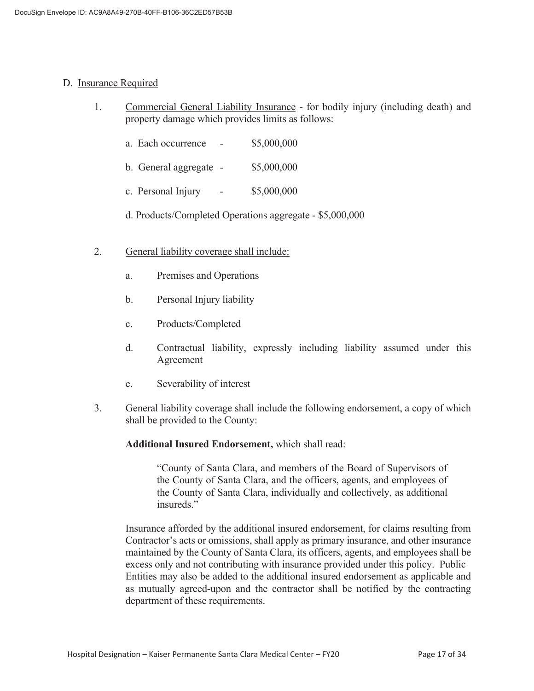#### D. Insurance Required

- 1. Commercial General Liability Insurance for bodily injury (including death) and property damage which provides limits as follows:
	- a. Each occurrence \$5,000,000
	- b. General aggregate \$5,000,000
	- c. Personal Injury \$5,000,000
	- d. Products/Completed Operations aggregate \$5,000,000
- 2. General liability coverage shall include:
	- a. Premises and Operations
	- b. Personal Injury liability
	- c. Products/Completed
	- d. Contractual liability, expressly including liability assumed under this Agreement
	- e. Severability of interest
- 3. General liability coverage shall include the following endorsement, a copy of which shall be provided to the County:

#### **Additional Insured Endorsement,** which shall read:

 "County of Santa Clara, and members of the Board of Supervisors of the County of Santa Clara, and the officers, agents, and employees of the County of Santa Clara, individually and collectively, as additional insureds."

 Insurance afforded by the additional insured endorsement, for claims resulting from Contractor's acts or omissions, shall apply as primary insurance, and other insurance maintained by the County of Santa Clara, its officers, agents, and employees shall be excess only and not contributing with insurance provided under this policy. Public Entities may also be added to the additional insured endorsement as applicable and as mutually agreed-upon and the contractor shall be notified by the contracting department of these requirements.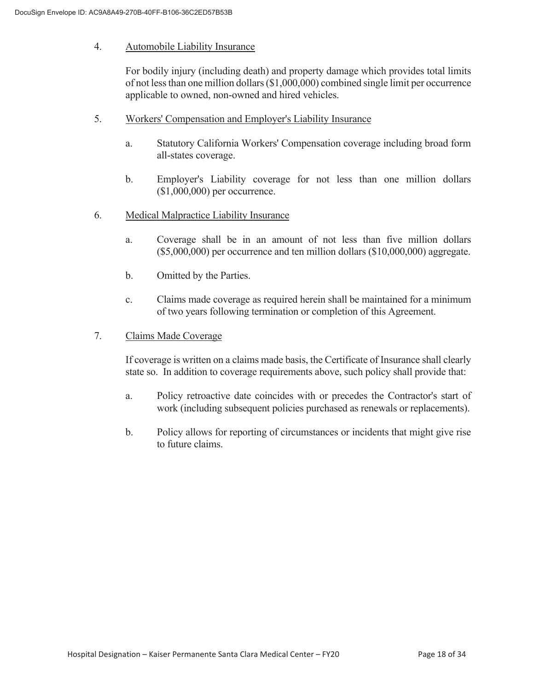#### 4. Automobile Liability Insurance

 For bodily injury (including death) and property damage which provides total limits of not less than one million dollars (\$1,000,000) combined single limit per occurrence applicable to owned, non-owned and hired vehicles.

- 5. Workers' Compensation and Employer's Liability Insurance
	- a. Statutory California Workers' Compensation coverage including broad form all-states coverage.
	- b. Employer's Liability coverage for not less than one million dollars (\$1,000,000) per occurrence.
- 6. Medical Malpractice Liability Insurance
	- a. Coverage shall be in an amount of not less than five million dollars (\$5,000,000) per occurrence and ten million dollars (\$10,000,000) aggregate.
	- b. Omitted by the Parties.
	- c. Claims made coverage as required herein shall be maintained for a minimum of two years following termination or completion of this Agreement.
- 7. Claims Made Coverage

 If coverage is written on a claims made basis, the Certificate of Insurance shall clearly state so. In addition to coverage requirements above, such policy shall provide that:

- a. Policy retroactive date coincides with or precedes the Contractor's start of work (including subsequent policies purchased as renewals or replacements).
- b. Policy allows for reporting of circumstances or incidents that might give rise to future claims.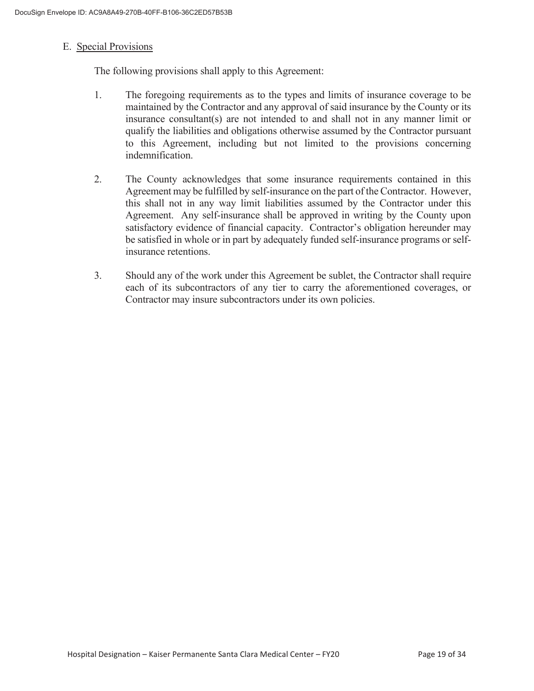#### E. Special Provisions

The following provisions shall apply to this Agreement:

- 1. The foregoing requirements as to the types and limits of insurance coverage to be maintained by the Contractor and any approval of said insurance by the County or its insurance consultant(s) are not intended to and shall not in any manner limit or qualify the liabilities and obligations otherwise assumed by the Contractor pursuant to this Agreement, including but not limited to the provisions concerning indemnification.
- 2. The County acknowledges that some insurance requirements contained in this Agreement may be fulfilled by self-insurance on the part of the Contractor. However, this shall not in any way limit liabilities assumed by the Contractor under this Agreement. Any self-insurance shall be approved in writing by the County upon satisfactory evidence of financial capacity. Contractor's obligation hereunder may be satisfied in whole or in part by adequately funded self-insurance programs or selfinsurance retentions.
- 3. Should any of the work under this Agreement be sublet, the Contractor shall require each of its subcontractors of any tier to carry the aforementioned coverages, or Contractor may insure subcontractors under its own policies.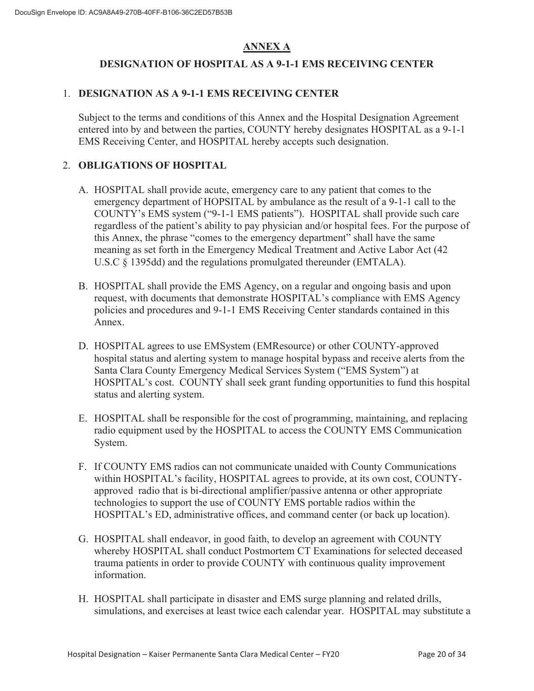## **ANNEX A**

## **DESIGNATION OF HOSPITAL AS A 9-1-1 EMS RECEIVING CENTER**

## 1. **DESIGNATION AS A 9-1-1 EMS RECEIVING CENTER**

Subject to the terms and conditions of this Annex and the Hospital Designation Agreement entered into by and between the parties, COUNTY hereby designates HOSPITAL as a 9-1-1 EMS Receiving Center, and HOSPITAL hereby accepts such designation.

## 2. **OBLIGATIONS OF HOSPITAL**

- A. HOSPITAL shall provide acute, emergency care to any patient that comes to the emergency department of HOPSITAL by ambulance as the result of a 9-1-1 call to the COUNTY's EMS system ("9-1-1 EMS patients"). HOSPITAL shall provide such care regardless of the patient's ability to pay physician and/or hospital fees. For the purpose of this Annex, the phrase "comes to the emergency department" shall have the same meaning as set forth in the Emergency Medical Treatment and Active Labor Act (42 U.S.C § 1395dd) and the regulations promulgated thereunder (EMTALA).
- B. HOSPITAL shall provide the EMS Agency, on a regular and ongoing basis and upon request, with documents that demonstrate HOSPITAL's compliance with EMS Agency policies and procedures and 9-1-1 EMS Receiving Center standards contained in this Annex.
- D. HOSPITAL agrees to use EMSystem (EMResource) or other COUNTY-approved hospital status and alerting system to manage hospital bypass and receive alerts from the Santa Clara County Emergency Medical Services System ("EMS System") at HOSPITAL's cost. COUNTY shall seek grant funding opportunities to fund this hospital status and alerting system.
- E. HOSPITAL shall be responsible for the cost of programming, maintaining, and replacing radio equipment used by the HOSPITAL to access the COUNTY EMS Communication System.
- F. If COUNTY EMS radios can not communicate unaided with County Communications within HOSPITAL's facility, HOSPITAL agrees to provide, at its own cost, COUNTYapproved radio that is bi-directional amplifier/passive antenna or other appropriate technologies to support the use of COUNTY EMS portable radios within the HOSPITAL's ED, administrative offices, and command center (or back up location).
- G. HOSPITAL shall endeavor, in good faith, to develop an agreement with COUNTY whereby HOSPITAL shall conduct Postmortem CT Examinations for selected deceased trauma patients in order to provide COUNTY with continuous quality improvement information.
- H. HOSPITAL shall participate in disaster and EMS surge planning and related drills, simulations, and exercises at least twice each calendar year. HOSPITAL may substitute a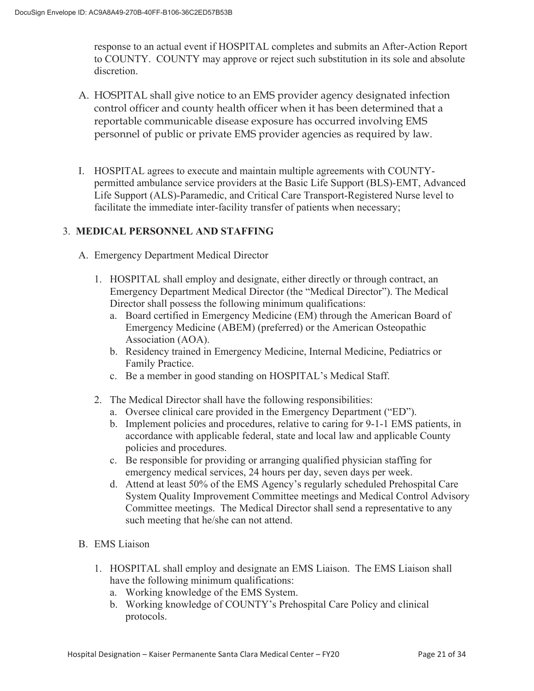response to an actual event if HOSPITAL completes and submits an After-Action Report to COUNTY. COUNTY may approve or reject such substitution in its sole and absolute discretion.

- A. HOSPITAL shall give notice to an EMS provider agency designated infection control officer and county health officer when it has been determined that a reportable communicable disease exposure has occurred involving EMS personnel of public or private EMS provider agencies as required by law.
- I. HOSPITAL agrees to execute and maintain multiple agreements with COUNTYpermitted ambulance service providers at the Basic Life Support (BLS)-EMT, Advanced Life Support (ALS)-Paramedic, and Critical Care Transport-Registered Nurse level to facilitate the immediate inter-facility transfer of patients when necessary;

## 3. **MEDICAL PERSONNEL AND STAFFING**

- A. Emergency Department Medical Director
	- 1. HOSPITAL shall employ and designate, either directly or through contract, an Emergency Department Medical Director (the "Medical Director"). The Medical Director shall possess the following minimum qualifications:
		- a. Board certified in Emergency Medicine (EM) through the American Board of Emergency Medicine (ABEM) (preferred) or the American Osteopathic Association (AOA).
		- b. Residency trained in Emergency Medicine, Internal Medicine, Pediatrics or Family Practice.
		- c. Be a member in good standing on HOSPITAL's Medical Staff.
	- 2. The Medical Director shall have the following responsibilities:
		- a. Oversee clinical care provided in the Emergency Department ("ED").
		- b. Implement policies and procedures, relative to caring for 9-1-1 EMS patients, in accordance with applicable federal, state and local law and applicable County policies and procedures.
		- c. Be responsible for providing or arranging qualified physician staffing for emergency medical services, 24 hours per day, seven days per week.
		- d. Attend at least 50% of the EMS Agency's regularly scheduled Prehospital Care System Quality Improvement Committee meetings and Medical Control Advisory Committee meetings. The Medical Director shall send a representative to any such meeting that he/she can not attend.
- B. EMS Liaison
	- 1. HOSPITAL shall employ and designate an EMS Liaison. The EMS Liaison shall have the following minimum qualifications:
		- a. Working knowledge of the EMS System.
		- b. Working knowledge of COUNTY's Prehospital Care Policy and clinical protocols.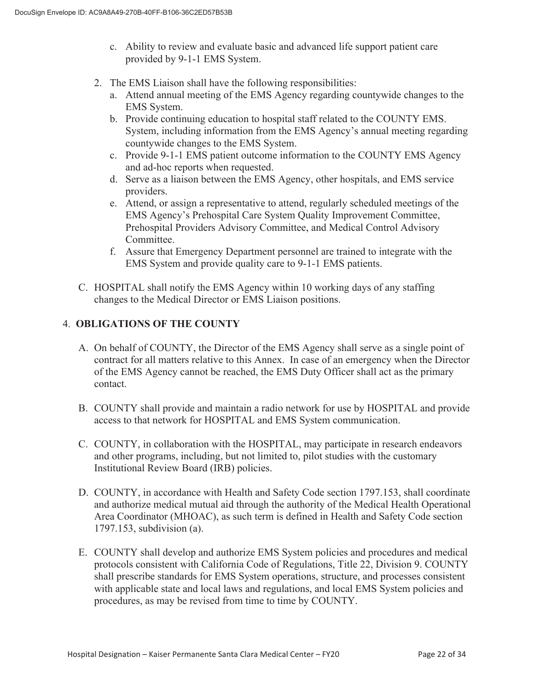- c. Ability to review and evaluate basic and advanced life support patient care provided by 9-1-1 EMS System.
- 2. The EMS Liaison shall have the following responsibilities:
	- a. Attend annual meeting of the EMS Agency regarding countywide changes to the EMS System.
	- b. Provide continuing education to hospital staff related to the COUNTY EMS. System, including information from the EMS Agency's annual meeting regarding countywide changes to the EMS System.
	- c. Provide 9-1-1 EMS patient outcome information to the COUNTY EMS Agency and ad-hoc reports when requested.
	- d. Serve as a liaison between the EMS Agency, other hospitals, and EMS service providers.
	- e. Attend, or assign a representative to attend, regularly scheduled meetings of the EMS Agency's Prehospital Care System Quality Improvement Committee, Prehospital Providers Advisory Committee, and Medical Control Advisory Committee.
	- f. Assure that Emergency Department personnel are trained to integrate with the EMS System and provide quality care to 9-1-1 EMS patients.
- C. HOSPITAL shall notify the EMS Agency within 10 working days of any staffing changes to the Medical Director or EMS Liaison positions.

## 4. **OBLIGATIONS OF THE COUNTY**

- A. On behalf of COUNTY, the Director of the EMS Agency shall serve as a single point of contract for all matters relative to this Annex. In case of an emergency when the Director of the EMS Agency cannot be reached, the EMS Duty Officer shall act as the primary contact.
- B. COUNTY shall provide and maintain a radio network for use by HOSPITAL and provide access to that network for HOSPITAL and EMS System communication.
- C. COUNTY, in collaboration with the HOSPITAL, may participate in research endeavors and other programs, including, but not limited to, pilot studies with the customary Institutional Review Board (IRB) policies.
- D. COUNTY, in accordance with Health and Safety Code section 1797.153, shall coordinate and authorize medical mutual aid through the authority of the Medical Health Operational Area Coordinator (MHOAC), as such term is defined in Health and Safety Code section 1797.153, subdivision (a).
- E. COUNTY shall develop and authorize EMS System policies and procedures and medical protocols consistent with California Code of Regulations, Title 22, Division 9. COUNTY shall prescribe standards for EMS System operations, structure, and processes consistent with applicable state and local laws and regulations, and local EMS System policies and procedures, as may be revised from time to time by COUNTY.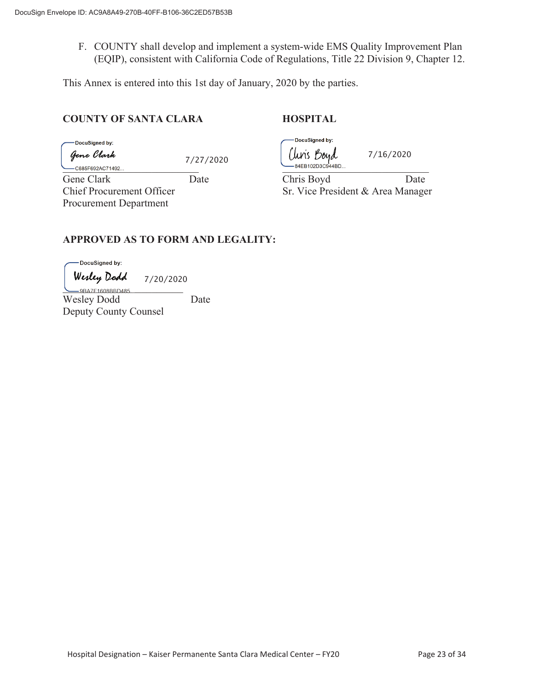F. COUNTY shall develop and implement a system-wide EMS Quality Improvement Plan (EQIP), consistent with California Code of Regulations, Title 22 Division 9, Chapter 12.

This Annex is entered into this 1st day of January, 2020 by the parties.

#### **COUNTY OF SANTA CLARA HOSPITAL**

DocuSigned by: Gene Clark

7/27/2020

Procurement Department

DocuSigned by: Uuris *Boyd* 7/16/2020 \_\_\_\_\_\_\_\_\_\_\_\_\_\_\_\_\_\_\_\_\_\_\_\_\_\_ \_\_\_\_\_\_\_\_\_\_\_\_\_\_\_\_\_\_\_\_\_\_\_\_\_\_\_\_

Gene Clark Date Date Chris Boyd Date Chief Procurement Officer Sr. Vice President & Area Manager

## **APPROVED AS TO FORM AND LEGALITY:**

DocuSigned by:

Wesley Dodd 7/20/2020

.<br>9BA7F1608BBD485 Wesley Dodd Date Deputy County Counsel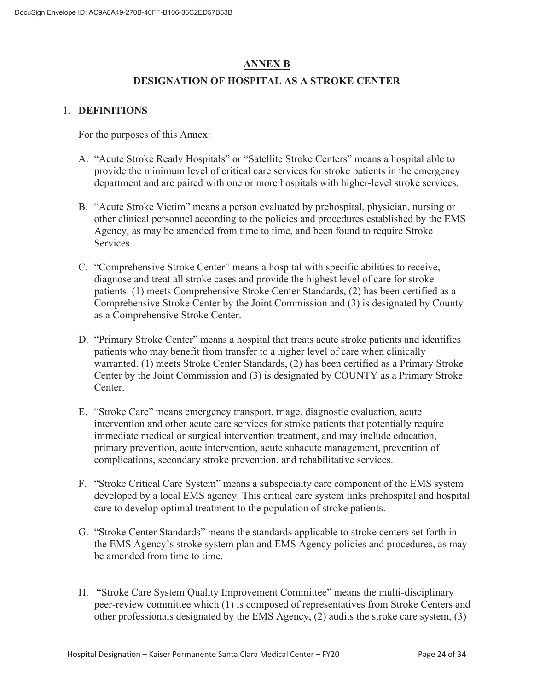## **ANNEX B**

## **DESIGNATION OF HOSPITAL AS A STROKE CENTER**

## 1. **DEFINITIONS**

For the purposes of this Annex:

- A. "Acute Stroke Ready Hospitals" or "Satellite Stroke Centers" means a hospital able to provide the minimum level of critical care services for stroke patients in the emergency department and are paired with one or more hospitals with higher-level stroke services.
- B. "Acute Stroke Victim" means a person evaluated by prehospital, physician, nursing or other clinical personnel according to the policies and procedures established by the EMS Agency, as may be amended from time to time, and been found to require Stroke Services.
- C. "Comprehensive Stroke Center" means a hospital with specific abilities to receive, diagnose and treat all stroke cases and provide the highest level of care for stroke patients. (1) meets Comprehensive Stroke Center Standards, (2) has been certified as a Comprehensive Stroke Center by the Joint Commission and (3) is designated by County as a Comprehensive Stroke Center.
- D. "Primary Stroke Center" means a hospital that treats acute stroke patients and identifies patients who may benefit from transfer to a higher level of care when clinically warranted. (1) meets Stroke Center Standards, (2) has been certified as a Primary Stroke Center by the Joint Commission and (3) is designated by COUNTY as a Primary Stroke Center.
- E. "Stroke Care" means emergency transport, triage, diagnostic evaluation, acute intervention and other acute care services for stroke patients that potentially require immediate medical or surgical intervention treatment, and may include education, primary prevention, acute intervention, acute subacute management, prevention of complications, secondary stroke prevention, and rehabilitative services.
- F. "Stroke Critical Care System" means a subspecialty care component of the EMS system developed by a local EMS agency. This critical care system links prehospital and hospital care to develop optimal treatment to the population of stroke patients.
- G. "Stroke Center Standards" means the standards applicable to stroke centers set forth in the EMS Agency's stroke system plan and EMS Agency policies and procedures, as may be amended from time to time.
- H. "Stroke Care System Quality Improvement Committee" means the multi-disciplinary peer-review committee which (1) is composed of representatives from Stroke Centers and other professionals designated by the EMS Agency, (2) audits the stroke care system, (3)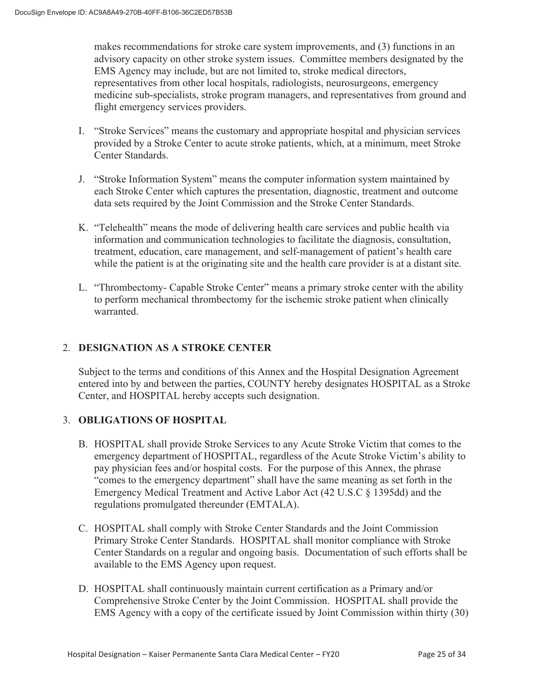makes recommendations for stroke care system improvements, and (3) functions in an advisory capacity on other stroke system issues. Committee members designated by the EMS Agency may include, but are not limited to, stroke medical directors, representatives from other local hospitals, radiologists, neurosurgeons, emergency medicine sub-specialists, stroke program managers, and representatives from ground and flight emergency services providers.

- I. "Stroke Services" means the customary and appropriate hospital and physician services provided by a Stroke Center to acute stroke patients, which, at a minimum, meet Stroke Center Standards.
- J. "Stroke Information System" means the computer information system maintained by each Stroke Center which captures the presentation, diagnostic, treatment and outcome data sets required by the Joint Commission and the Stroke Center Standards.
- K. "Telehealth" means the mode of delivering health care services and public health via information and communication technologies to facilitate the diagnosis, consultation, treatment, education, care management, and self-management of patient's health care while the patient is at the originating site and the health care provider is at a distant site.
- L. "Thrombectomy- Capable Stroke Center" means a primary stroke center with the ability to perform mechanical thrombectomy for the ischemic stroke patient when clinically warranted.

## 2. **DESIGNATION AS A STROKE CENTER**

Subject to the terms and conditions of this Annex and the Hospital Designation Agreement entered into by and between the parties, COUNTY hereby designates HOSPITAL as a Stroke Center, and HOSPITAL hereby accepts such designation.

#### 3. **OBLIGATIONS OF HOSPITAL**

- B. HOSPITAL shall provide Stroke Services to any Acute Stroke Victim that comes to the emergency department of HOSPITAL, regardless of the Acute Stroke Victim's ability to pay physician fees and/or hospital costs. For the purpose of this Annex, the phrase "comes to the emergency department" shall have the same meaning as set forth in the Emergency Medical Treatment and Active Labor Act (42 U.S.C § 1395dd) and the regulations promulgated thereunder (EMTALA).
- C. HOSPITAL shall comply with Stroke Center Standards and the Joint Commission Primary Stroke Center Standards. HOSPITAL shall monitor compliance with Stroke Center Standards on a regular and ongoing basis. Documentation of such efforts shall be available to the EMS Agency upon request.
- D. HOSPITAL shall continuously maintain current certification as a Primary and/or Comprehensive Stroke Center by the Joint Commission. HOSPITAL shall provide the EMS Agency with a copy of the certificate issued by Joint Commission within thirty (30)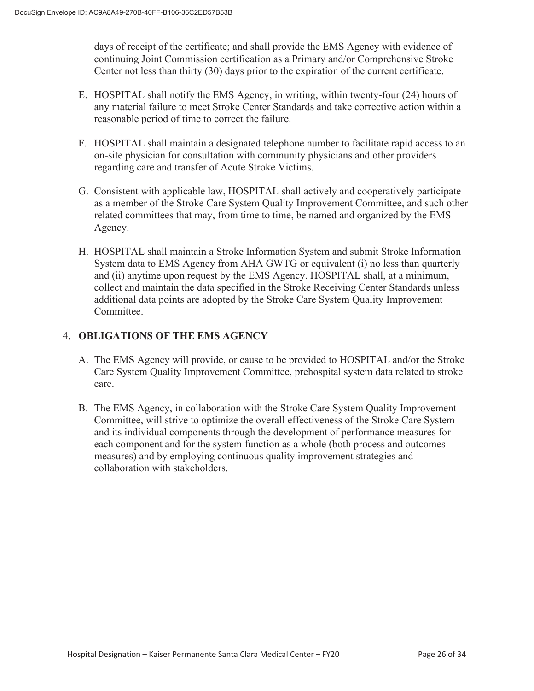days of receipt of the certificate; and shall provide the EMS Agency with evidence of continuing Joint Commission certification as a Primary and/or Comprehensive Stroke Center not less than thirty (30) days prior to the expiration of the current certificate.

- E. HOSPITAL shall notify the EMS Agency, in writing, within twenty-four (24) hours of any material failure to meet Stroke Center Standards and take corrective action within a reasonable period of time to correct the failure.
- F. HOSPITAL shall maintain a designated telephone number to facilitate rapid access to an on-site physician for consultation with community physicians and other providers regarding care and transfer of Acute Stroke Victims.
- G. Consistent with applicable law, HOSPITAL shall actively and cooperatively participate as a member of the Stroke Care System Quality Improvement Committee, and such other related committees that may, from time to time, be named and organized by the EMS Agency.
- H. HOSPITAL shall maintain a Stroke Information System and submit Stroke Information System data to EMS Agency from AHA GWTG or equivalent (i) no less than quarterly and (ii) anytime upon request by the EMS Agency. HOSPITAL shall, at a minimum, collect and maintain the data specified in the Stroke Receiving Center Standards unless additional data points are adopted by the Stroke Care System Quality Improvement Committee.

## 4. **OBLIGATIONS OF THE EMS AGENCY**

- A. The EMS Agency will provide, or cause to be provided to HOSPITAL and/or the Stroke Care System Quality Improvement Committee, prehospital system data related to stroke care.
- B. The EMS Agency, in collaboration with the Stroke Care System Quality Improvement Committee, will strive to optimize the overall effectiveness of the Stroke Care System and its individual components through the development of performance measures for each component and for the system function as a whole (both process and outcomes measures) and by employing continuous quality improvement strategies and collaboration with stakeholders.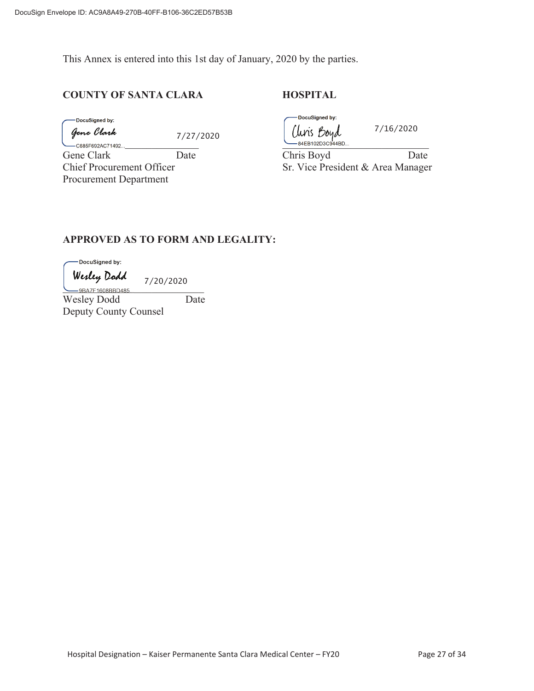This Annex is entered into this 1st day of January, 2020 by the parties.

#### **COUNTY OF SANTA CLARA HOSPITAL**

DocuSigned by:

Gene Clark

7/27/2020

\_\_\_\_\_\_\_\_\_\_\_\_\_\_\_\_\_\_\_\_\_\_\_\_\_\_ \_\_\_\_\_\_\_\_\_\_\_\_\_\_\_\_\_\_\_\_\_\_\_\_\_\_\_\_ Procurement Department

DocuSigned by: Clins Boyd

7/16/2020

Gene Clark Date Date Chris Boyd Date Chief Procurement Officer Sr. Vice President & Area Manager

#### **APPROVED AS TO FORM AND LEGALITY:**

-DocuSigned by:

Wesley Dodd 7/20/2020 -9BA7F1608BBD485.

Wesley Dodd Date Deputy County Counsel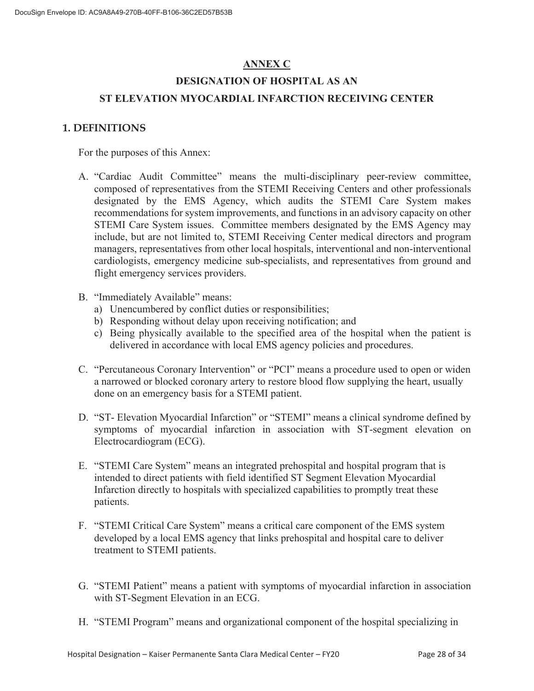## **ANNEX C**

# **DESIGNATION OF HOSPITAL AS AN ST ELEVATION MYOCARDIAL INFARCTION RECEIVING CENTER**

#### **1. DEFINITIONS**

For the purposes of this Annex:

- A. "Cardiac Audit Committee" means the multi-disciplinary peer-review committee, composed of representatives from the STEMI Receiving Centers and other professionals designated by the EMS Agency, which audits the STEMI Care System makes recommendations for system improvements, and functions in an advisory capacity on other STEMI Care System issues. Committee members designated by the EMS Agency may include, but are not limited to, STEMI Receiving Center medical directors and program managers, representatives from other local hospitals, interventional and non-interventional cardiologists, emergency medicine sub-specialists, and representatives from ground and flight emergency services providers.
- B. "Immediately Available" means:
	- a) Unencumbered by conflict duties or responsibilities;
	- b) Responding without delay upon receiving notification; and
	- c) Being physically available to the specified area of the hospital when the patient is delivered in accordance with local EMS agency policies and procedures.
- C. "Percutaneous Coronary Intervention" or "PCI" means a procedure used to open or widen a narrowed or blocked coronary artery to restore blood flow supplying the heart, usually done on an emergency basis for a STEMI patient.
- D. "ST- Elevation Myocardial Infarction" or "STEMI" means a clinical syndrome defined by symptoms of myocardial infarction in association with ST-segment elevation on Electrocardiogram (ECG).
- E. "STEMI Care System" means an integrated prehospital and hospital program that is intended to direct patients with field identified ST Segment Elevation Myocardial Infarction directly to hospitals with specialized capabilities to promptly treat these patients.
- F. "STEMI Critical Care System" means a critical care component of the EMS system developed by a local EMS agency that links prehospital and hospital care to deliver treatment to STEMI patients.
- G. "STEMI Patient" means a patient with symptoms of myocardial infarction in association with ST-Segment Elevation in an ECG.
- H. "STEMI Program" means and organizational component of the hospital specializing in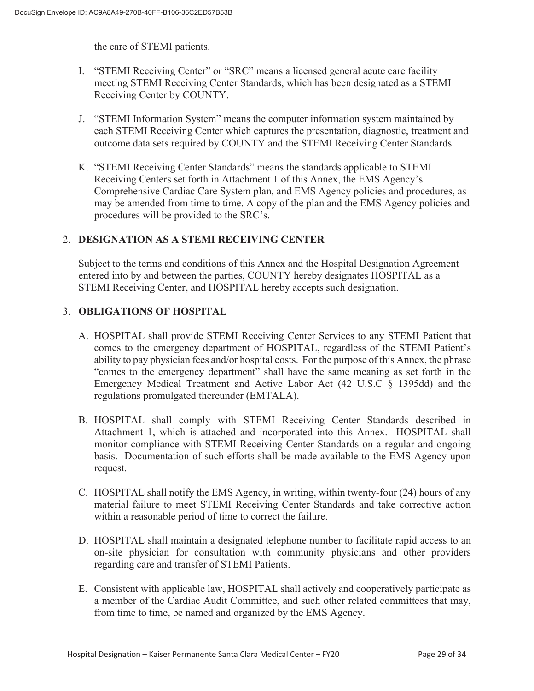the care of STEMI patients.

- I. "STEMI Receiving Center" or "SRC" means a licensed general acute care facility meeting STEMI Receiving Center Standards, which has been designated as a STEMI Receiving Center by COUNTY.
- J. "STEMI Information System" means the computer information system maintained by each STEMI Receiving Center which captures the presentation, diagnostic, treatment and outcome data sets required by COUNTY and the STEMI Receiving Center Standards.
- K. "STEMI Receiving Center Standards" means the standards applicable to STEMI Receiving Centers set forth in Attachment 1 of this Annex, the EMS Agency's Comprehensive Cardiac Care System plan, and EMS Agency policies and procedures, as may be amended from time to time. A copy of the plan and the EMS Agency policies and procedures will be provided to the SRC's.

## 2. **DESIGNATION AS A STEMI RECEIVING CENTER**

Subject to the terms and conditions of this Annex and the Hospital Designation Agreement entered into by and between the parties, COUNTY hereby designates HOSPITAL as a STEMI Receiving Center, and HOSPITAL hereby accepts such designation.

## 3. **OBLIGATIONS OF HOSPITAL**

- A. HOSPITAL shall provide STEMI Receiving Center Services to any STEMI Patient that comes to the emergency department of HOSPITAL, regardless of the STEMI Patient's ability to pay physician fees and/or hospital costs. For the purpose of this Annex, the phrase "comes to the emergency department" shall have the same meaning as set forth in the Emergency Medical Treatment and Active Labor Act (42 U.S.C § 1395dd) and the regulations promulgated thereunder (EMTALA).
- B. HOSPITAL shall comply with STEMI Receiving Center Standards described in Attachment 1, which is attached and incorporated into this Annex. HOSPITAL shall monitor compliance with STEMI Receiving Center Standards on a regular and ongoing basis. Documentation of such efforts shall be made available to the EMS Agency upon request.
- C. HOSPITAL shall notify the EMS Agency, in writing, within twenty-four (24) hours of any material failure to meet STEMI Receiving Center Standards and take corrective action within a reasonable period of time to correct the failure.
- D. HOSPITAL shall maintain a designated telephone number to facilitate rapid access to an on-site physician for consultation with community physicians and other providers regarding care and transfer of STEMI Patients.
- E. Consistent with applicable law, HOSPITAL shall actively and cooperatively participate as a member of the Cardiac Audit Committee, and such other related committees that may, from time to time, be named and organized by the EMS Agency.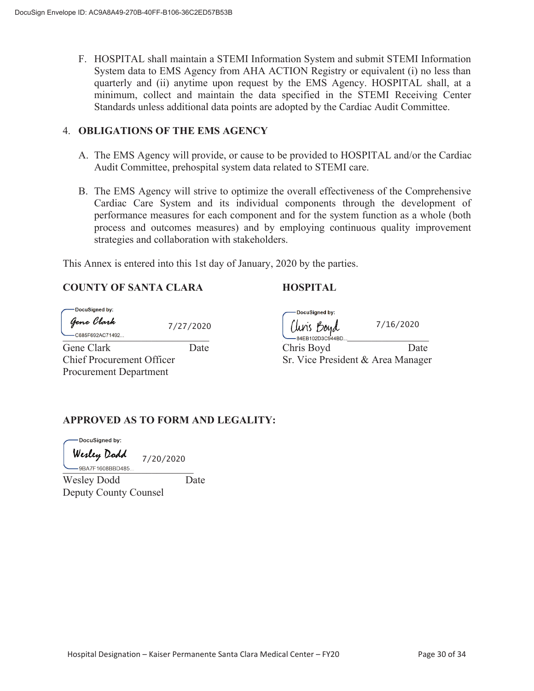F. HOSPITAL shall maintain a STEMI Information System and submit STEMI Information System data to EMS Agency from AHA ACTION Registry or equivalent (i) no less than quarterly and (ii) anytime upon request by the EMS Agency. HOSPITAL shall, at a minimum, collect and maintain the data specified in the STEMI Receiving Center Standards unless additional data points are adopted by the Cardiac Audit Committee.

#### 4. **OBLIGATIONS OF THE EMS AGENCY**

- A. The EMS Agency will provide, or cause to be provided to HOSPITAL and/or the Cardiac Audit Committee, prehospital system data related to STEMI care.
- B. The EMS Agency will strive to optimize the overall effectiveness of the Comprehensive Cardiac Care System and its individual components through the development of performance measures for each component and for the system function as a whole (both process and outcomes measures) and by employing continuous quality improvement strategies and collaboration with stakeholders.

This Annex is entered into this 1st day of January, 2020 by the parties.

## **COUNTY OF SANTA CLARA HOSPITAL**

| - DocuSigned by: |            |  |  |  |
|------------------|------------|--|--|--|
|                  | Gene Clark |  |  |  |

Procurement Department

| -DocuSigned by:  |           | -DocuSigned by:    |
|------------------|-----------|--------------------|
| ĵene Clark       | 7/27/2020 | Uris Boyd          |
| -C685F692AC71492 |           | $-84EB102D3C944BD$ |

7/16/2020

Gene Clark Date Date Chris Boyd Date Date Chief Procurement Officer Sr. Vice President & Area Manager

## **APPROVED AS TO FORM AND LEGALITY:**

DocuSigned by:

Wesley Dodd 7/20/2020 -<br>9BA7F1608BBD485.

Wesley Dodd Date Deputy County Counsel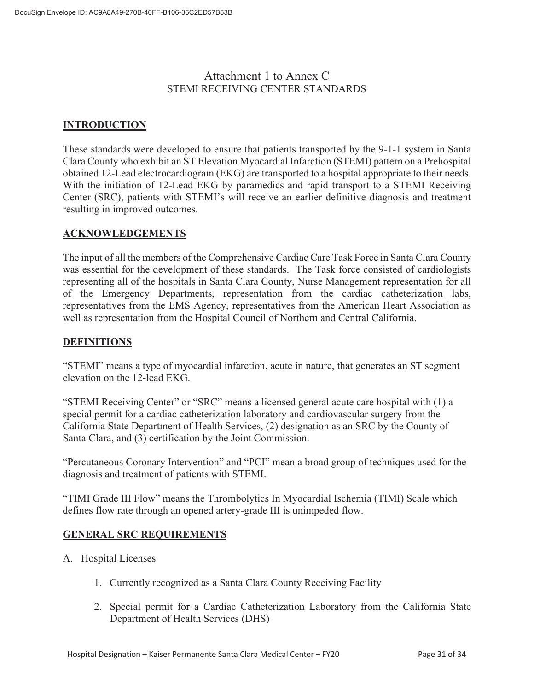## Attachment 1 to Annex C STEMI RECEIVING CENTER STANDARDS

## **INTRODUCTION**

These standards were developed to ensure that patients transported by the 9-1-1 system in Santa Clara County who exhibit an ST Elevation Myocardial Infarction (STEMI) pattern on a Prehospital obtained 12-Lead electrocardiogram (EKG) are transported to a hospital appropriate to their needs. With the initiation of 12-Lead EKG by paramedics and rapid transport to a STEMI Receiving Center (SRC), patients with STEMI's will receive an earlier definitive diagnosis and treatment resulting in improved outcomes.

## **ACKNOWLEDGEMENTS**

The input of all the members of the Comprehensive Cardiac Care Task Force in Santa Clara County was essential for the development of these standards. The Task force consisted of cardiologists representing all of the hospitals in Santa Clara County, Nurse Management representation for all of the Emergency Departments, representation from the cardiac catheterization labs, representatives from the EMS Agency, representatives from the American Heart Association as well as representation from the Hospital Council of Northern and Central California.

## **DEFINITIONS**

"STEMI" means a type of myocardial infarction, acute in nature, that generates an ST segment elevation on the 12-lead EKG.

"STEMI Receiving Center" or "SRC" means a licensed general acute care hospital with (1) a special permit for a cardiac catheterization laboratory and cardiovascular surgery from the California State Department of Health Services, (2) designation as an SRC by the County of Santa Clara, and (3) certification by the Joint Commission.

"Percutaneous Coronary Intervention" and "PCI" mean a broad group of techniques used for the diagnosis and treatment of patients with STEMI.

"TIMI Grade III Flow" means the Thrombolytics In Myocardial Ischemia (TIMI) Scale which defines flow rate through an opened artery-grade III is unimpeded flow.

#### **GENERAL SRC REQUIREMENTS**

- A. Hospital Licenses
	- 1. Currently recognized as a Santa Clara County Receiving Facility
	- 2. Special permit for a Cardiac Catheterization Laboratory from the California State Department of Health Services (DHS)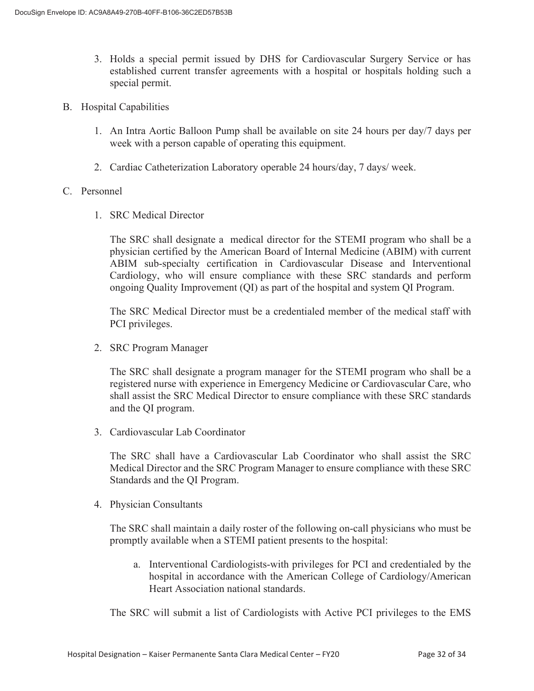- 3. Holds a special permit issued by DHS for Cardiovascular Surgery Service or has established current transfer agreements with a hospital or hospitals holding such a special permit.
- B. Hospital Capabilities
	- 1. An Intra Aortic Balloon Pump shall be available on site 24 hours per day/7 days per week with a person capable of operating this equipment.
	- 2. Cardiac Catheterization Laboratory operable 24 hours/day, 7 days/ week.

#### C. Personnel

1. SRC Medical Director

The SRC shall designate a medical director for the STEMI program who shall be a physician certified by the American Board of Internal Medicine (ABIM) with current ABIM sub-specialty certification in Cardiovascular Disease and Interventional Cardiology, who will ensure compliance with these SRC standards and perform ongoing Quality Improvement (QI) as part of the hospital and system QI Program.

The SRC Medical Director must be a credentialed member of the medical staff with PCI privileges.

2. SRC Program Manager

The SRC shall designate a program manager for the STEMI program who shall be a registered nurse with experience in Emergency Medicine or Cardiovascular Care, who shall assist the SRC Medical Director to ensure compliance with these SRC standards and the QI program.

3. Cardiovascular Lab Coordinator

The SRC shall have a Cardiovascular Lab Coordinator who shall assist the SRC Medical Director and the SRC Program Manager to ensure compliance with these SRC Standards and the QI Program.

4. Physician Consultants

The SRC shall maintain a daily roster of the following on-call physicians who must be promptly available when a STEMI patient presents to the hospital:

a. Interventional Cardiologists-with privileges for PCI and credentialed by the hospital in accordance with the American College of Cardiology/American Heart Association national standards.

The SRC will submit a list of Cardiologists with Active PCI privileges to the EMS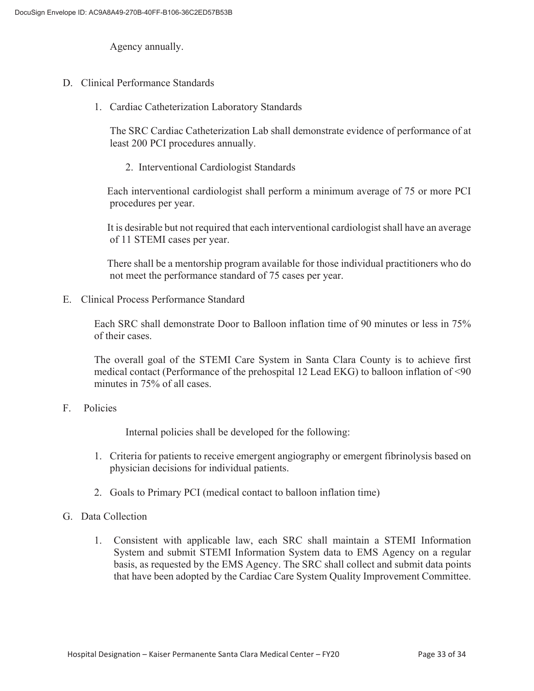Agency annually.

- D. Clinical Performance Standards
	- 1. Cardiac Catheterization Laboratory Standards

The SRC Cardiac Catheterization Lab shall demonstrate evidence of performance of at least 200 PCI procedures annually.

2. Interventional Cardiologist Standards

 Each interventional cardiologist shall perform a minimum average of 75 or more PCI procedures per year.

 It is desirable but not required that each interventional cardiologist shall have an average of 11 STEMI cases per year.

 There shall be a mentorship program available for those individual practitioners who do not meet the performance standard of 75 cases per year.

E. Clinical Process Performance Standard

Each SRC shall demonstrate Door to Balloon inflation time of 90 minutes or less in 75% of their cases.

The overall goal of the STEMI Care System in Santa Clara County is to achieve first medical contact (Performance of the prehospital 12 Lead EKG) to balloon inflation of <90 minutes in 75% of all cases.

#### F. Policies

Internal policies shall be developed for the following:

- 1. Criteria for patients to receive emergent angiography or emergent fibrinolysis based on physician decisions for individual patients.
- 2. Goals to Primary PCI (medical contact to balloon inflation time)
- G. Data Collection
	- 1. Consistent with applicable law, each SRC shall maintain a STEMI Information System and submit STEMI Information System data to EMS Agency on a regular basis, as requested by the EMS Agency. The SRC shall collect and submit data points that have been adopted by the Cardiac Care System Quality Improvement Committee.